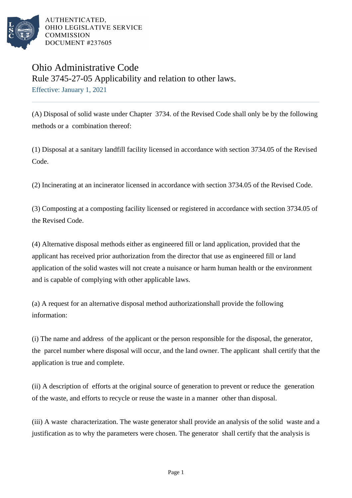

AUTHENTICATED. OHIO LEGISLATIVE SERVICE **COMMISSION** DOCUMENT #237605

## Ohio Administrative Code Rule 3745-27-05 Applicability and relation to other laws. Effective: January 1, 2021

(A) Disposal of solid waste under Chapter 3734. of the Revised Code shall only be by the following methods or a combination thereof:

(1) Disposal at a sanitary landfill facility licensed in accordance with section 3734.05 of the Revised Code.

(2) Incinerating at an incinerator licensed in accordance with section 3734.05 of the Revised Code.

(3) Composting at a composting facility licensed or registered in accordance with section 3734.05 of the Revised Code.

(4) Alternative disposal methods either as engineered fill or land application, provided that the applicant has received prior authorization from the director that use as engineered fill or land application of the solid wastes will not create a nuisance or harm human health or the environment and is capable of complying with other applicable laws.

(a) A request for an alternative disposal method authorization shall provide the following information:

(i) The name and address of the applicant or the person responsible for the disposal, the generator, the parcel number where disposal will occur, and the land owner. The applicant shall certify that the application is true and complete.

(ii) A description of efforts at the original source of generation to prevent or reduce the generation of the waste, and efforts to recycle or reuse the waste in a manner other than disposal.

(iii) A waste characterization. The waste generator shall provide an analysis of the solid waste and a justification as to why the parameters were chosen. The generator shall certify that the analysis is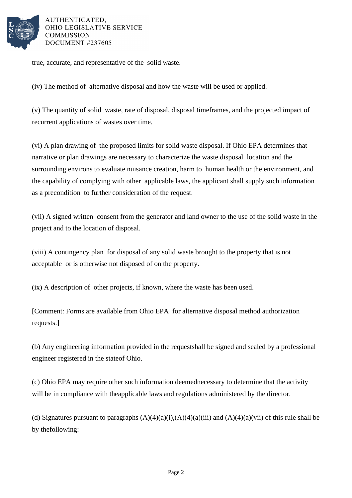

AUTHENTICATED. OHIO LEGISLATIVE SERVICE **COMMISSION** DOCUMENT #237605

true, accurate, and representative of the solid waste.

(iv) The method of alternative disposal and how the waste will be used or applied.

(v) The quantity of solid waste, rate of disposal, disposal timeframes, and the projected impact of recurrent applications of wastes over time.

(vi) A plan drawing of the proposed limits for solid waste disposal. If Ohio EPA determines that narrative or plan drawings are necessary to characterize the waste disposal location and the surrounding environs to evaluate nuisance creation, harm to human health or the environment, and the capability of complying with other applicable laws, the applicant shall supply such information as a precondition to further consideration of the request.

(vii) A signed written consent from the generator and land owner to the use of the solid waste in the project and to the location of disposal.

(viii) A contingency plan for disposal of any solid waste brought to the property that is not acceptable or is otherwise not disposed of on the property.

(ix) A description of other projects, if known, where the waste has been used.

[Comment: Forms are available from Ohio EPA for alternative disposal method authorization requests.]

(b) Any engineering information provided in the request shall be signed and sealed by a professional engineer registered in the state of Ohio.

(c) Ohio EPA may require other such information deemed necessary to determine that the activity will be in compliance with the applicable laws and regulations administered by the director.

(d) Signatures pursuant to paragraphs  $(A)(4)(a)(i)$ ,  $(A)(4)(a)(iii)$  and  $(A)(4)(a)(vii)$  of this rule shall be by the following: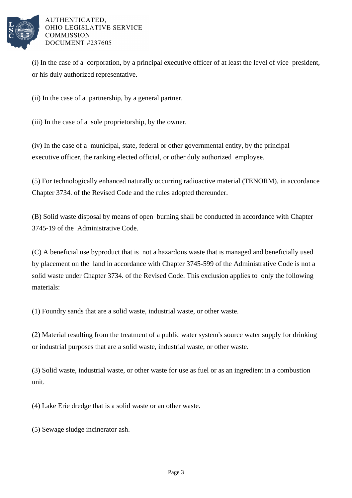

## AUTHENTICATED. OHIO LEGISLATIVE SERVICE **COMMISSION** DOCUMENT #237605

(i) In the case of a corporation, by a principal executive officer of at least the level of vice president, or his duly authorized representative.

(ii) In the case of a partnership, by a general partner.

(iii) In the case of a sole proprietorship, by the owner.

(iv) In the case of a municipal, state, federal or other governmental entity, by the principal executive officer, the ranking elected official, or other duly authorized employee.

(5) For technologically enhanced naturally occurring radioactive material (TENORM), in accordance Chapter 3734. of the Revised Code and the rules adopted thereunder.

(B) Solid waste disposal by means of open burning shall be conducted in accordance with Chapter 3745-19 of the Administrative Code.

(C) A beneficial use byproduct that is not a hazardous waste that is managed and beneficially used by placement on the land in accordance with Chapter 3745-599 of the Administrative Code is not a solid waste under Chapter 3734. of the Revised Code. This exclusion applies to only the following materials:

(1) Foundry sands that are a solid waste, industrial waste, or other waste.

 $(2)$  Material resulting from the treatment of a public water system's source water supply for drinking or industrial purposes that are a solid waste, industrial waste, or other waste.

(3) Solid waste, industrial waste, or other waste for use as fuel or as an ingredient in a combustion unit.

(4) Lake Erie dredge that is a solid waste or an other waste.

(5) Sewage sludge incinerator ash.